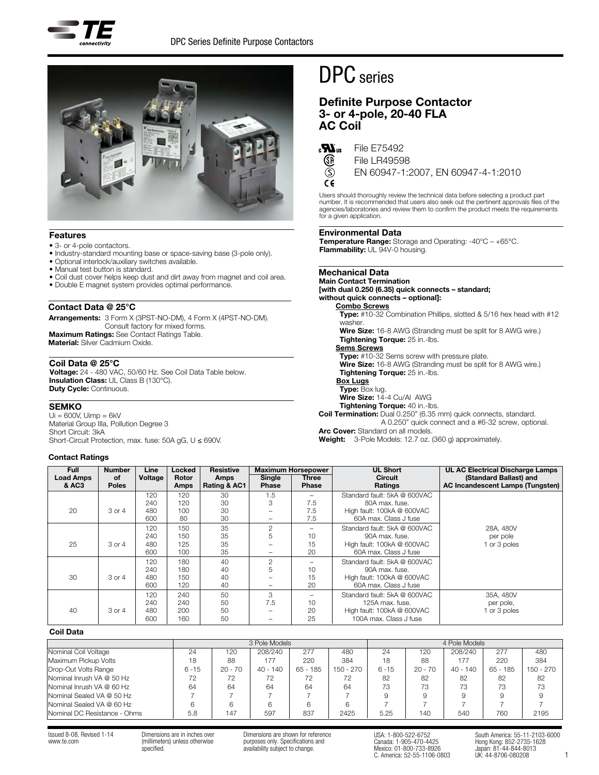



## Features

- 3- or 4-pole contactors.
- Industry-standard mounting base or space-saving base (3-pole only).
- Optional interlock/auxiliary switches available.
- Manual test button is standard.
- Coil dust cover helps keep dust and dirt away from magnet and coil area.
- Double E magnet system provides optimal performance.

## Contact Data @ 25°C

Arrangements: 3 Form X (3PST-NO-DM), 4 Form X (4PST-NO-DM). Consult factory for mixed forms. Maximum Ratings: See Contact Ratings Table. Material: Silver Cadmium Oxide.

## Coil Data @ 25°C

Voltage: 24 - 480 VAC, 50/60 Hz. See Coil Data Table below. Insulation Class: UL Class B (130°C). Duty Cycle: Continuous.

#### **SEMKO**

 $Ui = 600V$ ,  $Uimp = 6kV$ Material Group IIIa, Pollution Degree 3 Short Circuit: 3kA Short-Circuit Protection, max. fuse: 50A gG,  $U \le 690V$ .

## Contact Ratings

# DPC series

# Definite Purpose Contactor 3- or 4-pole, 20-40 FLA AC Coil



(S)  $\epsilon$ 

Œ File LR49598

EN 60947-1:2007, EN 60947-4-1:2010

Users should thoroughly review the technical data before selecting a product part number. It is recommended that users also seek out the pertinent approvals files of the<br>agencies/laboratories and review them to confirm the product meets the requirements for a given application.

## Environmental Data

**Temperature Range:** Storage and Operating:  $-40^{\circ}C - +65^{\circ}C$ . Flammability: UL 94V-0 housing.

#### Mechanical Data

## Main Contact Termination [with dual 0.250 (6.35) quick connects – standard; without quick connects – optional]:

Combo Screws

Type: #10-32 Combination Phillips, slotted & 5/16 hex head with #12 washer. Wire Size: 16-8 AWG (Stranding must be split for 8 AWG wire.) Tightening Torque: 25 in.-lbs. Sems Screws Type: #10-32 Sems screw with pressure plate. Wire Size: 16-8 AWG (Stranding must be split for 8 AWG wire.) Tightening Torque: 25 in.-lbs. **Box Lugs** Type: Box lug. Wire Size: 14-4 Cu/Al AWG Tightening Torque: 40 in.-lbs. Coil Termination: Dual 0.250" (6.35 mm) quick connects, standard. A 0.250" quick connect and a #6-32 screw, optional. Arc Cover: Standard on all models.

Weight: 3-Pole Models: 12.7 oz. (360 g) approximately.

| <b>Full</b><br><b>Load Amps</b><br>& AC3 | <b>Number</b><br><b>of</b><br><b>Poles</b> | Line<br>Voltage                 | Locked<br>Rotor<br>Amps        | <b>Resistive</b><br>Amps<br>Rating & AC1 | Single<br><b>Phase</b>                        | <b>Maximum Horsepower</b><br>Three<br><b>Phase</b> | <b>UL Short</b><br><b>Circuit</b><br>Ratings                                                                                   | UL AC Electrical Discharge Lamps<br>(Standard Ballast) and<br><b>AC Incandescent Lamps (Tungsten)</b> |
|------------------------------------------|--------------------------------------------|---------------------------------|--------------------------------|------------------------------------------|-----------------------------------------------|----------------------------------------------------|--------------------------------------------------------------------------------------------------------------------------------|-------------------------------------------------------------------------------------------------------|
| 20                                       | 3 or 4                                     | 120<br>240<br>480               | 120<br>120<br>100              | 30<br>30<br>30                           | 1.5<br>3<br>$\overline{\phantom{0}}$          | -<br>7.5<br>7.5                                    | Standard fault: 5kA @ 600VAC<br>80A max. fuse.<br>High fault: 100kA @ 600VAC                                                   |                                                                                                       |
| 25                                       | 3 or 4                                     | 600<br>120<br>240<br>480<br>600 | 80<br>150<br>150<br>125<br>100 | 30<br>35<br>35<br>35<br>35               | -<br>$\mathbf{2}$<br>5<br>-                   | 7.5<br>$\overline{\phantom{0}}$<br>10<br>15<br>20  | 60A max. Class J fuse<br>Standard fault: 5kA @ 600VAC<br>90A max. fuse.<br>High fault: 100kA @ 600VAC<br>60A max. Class J fuse | 28A, 480V<br>per pole<br>1 or 3 poles                                                                 |
| 30                                       | 3 or 4                                     | 120<br>240<br>480<br>600        | 180<br>180<br>150<br>120       | 40<br>40<br>40<br>40                     | $\mathbf{2}$<br>5<br>$\overline{\phantom{0}}$ | -<br>10<br>15<br>20                                | Standard fault: 5kA @ 600VAC<br>90A max. fuse.<br>High fault: 100kA @ 600VAC<br>60A max. Class J fuse                          |                                                                                                       |
| 40                                       | 3 or 4                                     | 120<br>240<br>480<br>600        | 240<br>240<br>200<br>160       | 50<br>50<br>50<br>50                     | 3<br>7.5<br>-<br>-                            | $\overline{\phantom{0}}$<br>10<br>20<br>25         | Standard fault: 5kA @ 600VAC<br>125A max. fuse.<br>High fault: 100kA @ 600VAC<br>100A max. Class J fuse                        | 35A, 480V<br>per pole,<br>1 or 3 poles                                                                |

## Coil Data

|                              | 3 Pole Models |           |            |            |             | 4 Pole Models |           |            |            |           |
|------------------------------|---------------|-----------|------------|------------|-------------|---------------|-----------|------------|------------|-----------|
| Nominal Coil Voltage         | 24            | 120       | 208/240    | 277        | 480         | 24            | 120       | 208/240    | 277        | 480       |
| Maximum Pickup Volts         | 18            | 88        | 177        | 220        | 384         | 18            | 88        | 177        | 220        | 384       |
| Drop-Out Volts Range         | $6 - 15$      | $20 - 70$ | $40 - 140$ | $65 - 185$ | $150 - 270$ | $6 - 15$      | $20 - 70$ | $40 - 140$ | $65 - 185$ | 150 - 270 |
| Nominal Inrush VA @ 50 Hz    | 72            | 72        | 72         | 72         | 72          | 82            | 82        | 82         | 82         | 82        |
| Nominal Inrush VA @ 60 Hz    | 64            | 64        | 64         | 64         | 64          | 73            | 73        | 73         | 73         | 73        |
| Nominal Sealed VA @ 50 Hz    |               |           |            |            |             |               |           |            |            |           |
| Nominal Sealed VA @ 60 Hz    |               |           | 6          | 6          |             |               |           |            |            |           |
| Nominal DC Resistance - Ohms | 5.8           | 147       | 597        | 837        | 2425        | 5.25          | 140       | 540        | 760        | 2195      |

Issued 8-08, Revised 1-14 www.te.com

Dimensions are in inches over (millimeters) unless otherwise specified.

Dimensions are shown for reference purposes only. Specifications and availability subject to change.

USA: 1-800-522-6752 Canada: 1-905-470-4425 Mexico: 01-800-733-8926 C. America: 52-55-1106-0803

South America: 55-11-2103-6000 Hong Kong: 852-2735-1628 Japan: 81-44-844-8013 UK: 44-8706-080208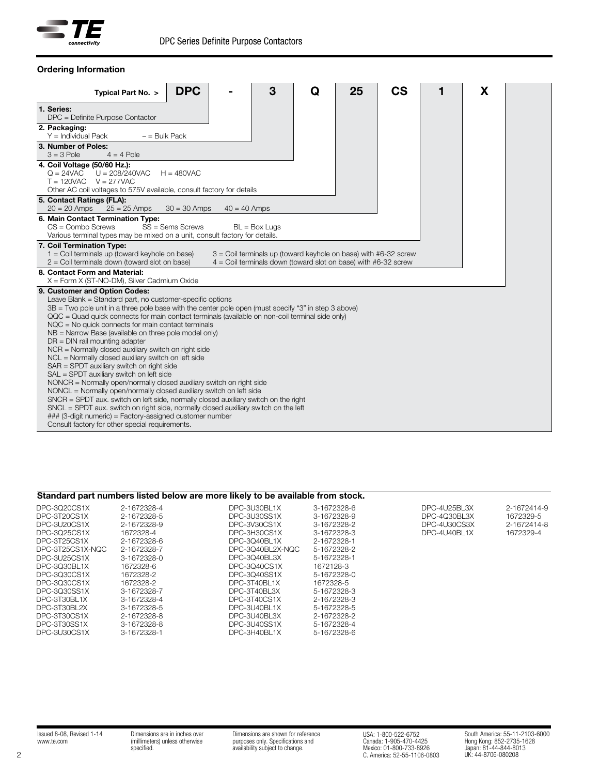

| <b>DPC</b><br>Typical Part No. >                                                                                                                                                                                                                                                                                                                                                                                                                                                                                                                                                                                                                                                                                                                                                                                                                                                                                                                                                                                                                                                                                            | 3                                                                                                                                     | Q | 25<br>CS | X |
|-----------------------------------------------------------------------------------------------------------------------------------------------------------------------------------------------------------------------------------------------------------------------------------------------------------------------------------------------------------------------------------------------------------------------------------------------------------------------------------------------------------------------------------------------------------------------------------------------------------------------------------------------------------------------------------------------------------------------------------------------------------------------------------------------------------------------------------------------------------------------------------------------------------------------------------------------------------------------------------------------------------------------------------------------------------------------------------------------------------------------------|---------------------------------------------------------------------------------------------------------------------------------------|---|----------|---|
| 1. Series:<br>DPC = Definite Purpose Contactor                                                                                                                                                                                                                                                                                                                                                                                                                                                                                                                                                                                                                                                                                                                                                                                                                                                                                                                                                                                                                                                                              |                                                                                                                                       |   |          |   |
| 2. Packaging:<br>$Y =$ Individual Pack<br>$-$ = Bulk Pack                                                                                                                                                                                                                                                                                                                                                                                                                                                                                                                                                                                                                                                                                                                                                                                                                                                                                                                                                                                                                                                                   |                                                                                                                                       |   |          |   |
| 3. Number of Poles:<br>$4 = 4$ Pole<br>$3 = 3$ Pole                                                                                                                                                                                                                                                                                                                                                                                                                                                                                                                                                                                                                                                                                                                                                                                                                                                                                                                                                                                                                                                                         |                                                                                                                                       |   |          |   |
| 4. Coil Voltage (50/60 Hz.):<br>$Q = 24VAC$<br>$U = 208/240VAC$<br>$H = 480VAC$<br>$T = 120VAC$ $V = 277VAC$<br>Other AC coil voltages to 575V available, consult factory for details                                                                                                                                                                                                                                                                                                                                                                                                                                                                                                                                                                                                                                                                                                                                                                                                                                                                                                                                       |                                                                                                                                       |   |          |   |
| 5. Contact Ratings (FLA):<br>$20 = 20$ Amps<br>$25 = 25$ Amps<br>$30 = 30$ Amps                                                                                                                                                                                                                                                                                                                                                                                                                                                                                                                                                                                                                                                                                                                                                                                                                                                                                                                                                                                                                                             | $40 = 40$ Amps                                                                                                                        |   |          |   |
| 6. Main Contact Termination Type:<br>$SS =$ Sems Screws<br>$CS =$ Combo Screws<br>Various terminal types may be mixed on a unit, consult factory for details.                                                                                                                                                                                                                                                                                                                                                                                                                                                                                                                                                                                                                                                                                                                                                                                                                                                                                                                                                               | $BL = Box Lugs$                                                                                                                       |   |          |   |
| 7. Coil Termination Type:<br>$1 =$ Coil terminals up (toward keyhole on base)<br>$2 =$ Coil terminals down (toward slot on base)                                                                                                                                                                                                                                                                                                                                                                                                                                                                                                                                                                                                                                                                                                                                                                                                                                                                                                                                                                                            | $3$ = Coil terminals up (toward keyhole on base) with #6-32 screw<br>$4 =$ Coil terminals down (toward slot on base) with #6-32 screw |   |          |   |
| 8. Contact Form and Material:<br>X = Form X (ST-NO-DM), Silver Cadmium Oxide                                                                                                                                                                                                                                                                                                                                                                                                                                                                                                                                                                                                                                                                                                                                                                                                                                                                                                                                                                                                                                                |                                                                                                                                       |   |          |   |
| 9. Customer and Option Codes:<br>Leave Blank = Standard part, no customer-specific options<br>3B = Two pole unit in a three pole base with the center pole open (must specify "3" in step 3 above)<br>QQC = Quad quick connects for main contact terminals (available on non-coil terminal side only)<br>$NQC = No$ quick connects for main contact terminals<br>$NB = \text{Narrow Base}$ (available on three pole model only)<br>$DR = DIN$ rail mounting adapter<br>NCR = Normally closed auxiliary switch on right side<br>NCL = Normally closed auxiliary switch on left side<br>SAR = SPDT auxiliary switch on right side<br>SAL = SPDT auxiliary switch on left side<br>NONCR = Normally open/normally closed auxiliary switch on right side<br>NONCL = Normally open/normally closed auxiliary switch on left side<br>$SNCR = SPDT$ aux. switch on left side, normally closed auxiliary switch on the right<br>$SNCL = SPDT$ aux. switch on right side, normally closed auxiliary switch on the left<br>### (3-digit numeric) = Factory-assigned customer number<br>Consult factory for other special requirements. |                                                                                                                                       |   |          |   |

## Ordering Information

# Standard part numbers listed below are more likely to be available from stock.

| DPC-3020CS1X<br>DPC-3T20CS1X<br>DPC-3U20CS1X | 2-1672328-4<br>2-1672328-5<br>2-1672328-9 | DPC-3U30BL1X<br>DPC-3U30SS1X<br>DPC-3V30CS1X | 3-1672328-6<br>3-1672328-9<br>3-1672328-2 | DPC-4U25BL3X<br>DPC-4030BL3X<br>DPC-4U30CS3X | 2-1672414-9<br>1672329-5<br>2-1672414-8 |
|----------------------------------------------|-------------------------------------------|----------------------------------------------|-------------------------------------------|----------------------------------------------|-----------------------------------------|
| DPC-3025CS1X                                 | 1672328-4                                 | DPC-3H30CS1X                                 | 3-1672328-3                               | DPC-4U40BL1X                                 | 1672329-4                               |
| DPC-3T25CS1X                                 | 2-1672328-6                               | DPC-3040BL1X                                 | 2-1672328-1                               |                                              |                                         |
| DPC-3T25CS1X-NOC                             | 2-1672328-7                               | DPC-3040BL2X-NOC                             | 5-1672328-2                               |                                              |                                         |
| DPC-3U25CS1X                                 | 3-1672328-0                               | DPC-3040BL3X                                 | 5-1672328-1                               |                                              |                                         |
| DPC-3030BL1X                                 | 1672328-6                                 | DPC-3040CS1X                                 | 1672128-3                                 |                                              |                                         |
| DPC-3030CS1X                                 | 1672328-2                                 | DPC-3040SS1X                                 | 5-1672328-0                               |                                              |                                         |
| DPC-3030CS1X                                 | 1672328-2                                 | DPC-3T40BL1X                                 | 1672328-5                                 |                                              |                                         |
| DPC-3030SS1X                                 | 3-1672328-7                               | DPC-3T40BL3X                                 | 5-1672328-3                               |                                              |                                         |
| DPC-3T30BL1X                                 | 3-1672328-4                               | DPC-3T40CS1X                                 | 2-1672328-3                               |                                              |                                         |
| DPC-3T30BL2X                                 | 3-1672328-5                               | DPC-3U40BL1X                                 | 5-1672328-5                               |                                              |                                         |
| DPC-3T30CS1X                                 | 2-1672328-8                               | DPC-3U40BL3X                                 | 2-1672328-2                               |                                              |                                         |
| DPC-3T30SS1X                                 | 3-1672328-8                               | DPC-3U40SS1X                                 | 5-1672328-4                               |                                              |                                         |
| DPC-3U30CS1X                                 | 3-1672328-1                               | DPC-3H40BL1X                                 | 5-1672328-6                               |                                              |                                         |

Issued 8-08, Revised 1-14 www.te.com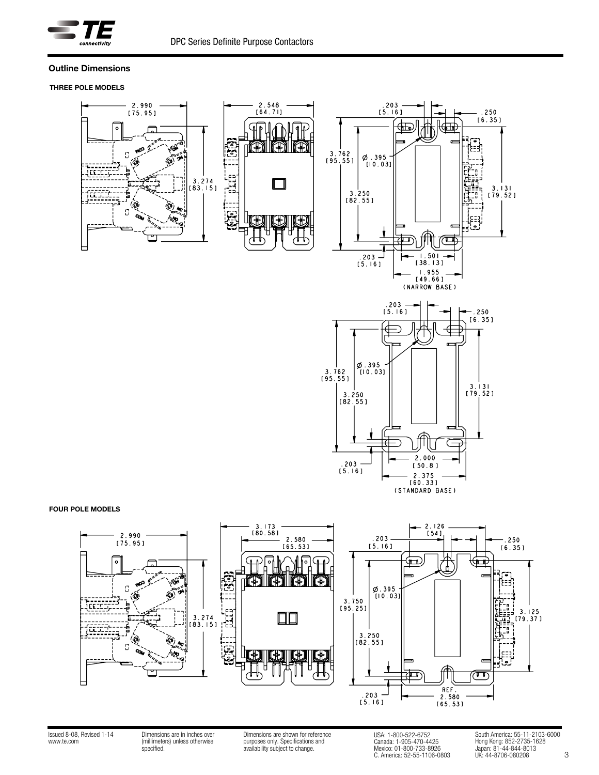

## Outline Dimensions

## THREE POLE MODELS









### FOUR POLE MODELS



Issued 8-08, Revised 1-14 www.te.com

Dimensions are in inches over (millimeters) unless otherwise specified.

Dimensions are shown for reference purposes only. Specifications and availability subject to change.

USA: 1-800-522-6752 Canada: 1-905-470-4425 Mexico: 01-800-733-8926 C. America: 52-55-1106-0803

3 South America: 55-11-2103-6000 Hong Kong: 852-2735-1628 Japan: 81-44-844-8013 UK: 44-8706-080208